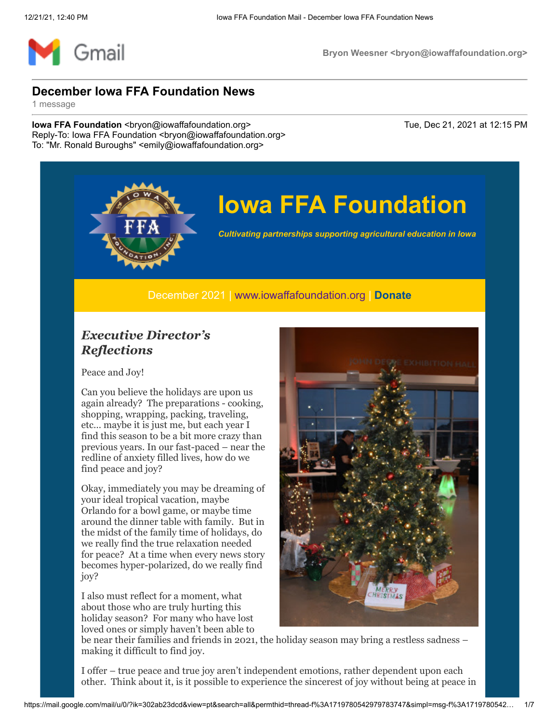

# **Iowa FFA Foundation**

*Cultivating partnerships supporting agricultural education in Iowa*

December 2021 | [www.iowaffafoundation.org](http://www.iowaffafoundation.org/) | **[Donate](https://eml-pusa01.app.blackbaud.net/intv2/j/5EBD57AB-D9C0-4928-BA12-64C30AD99C86/r/5EBD57AB-D9C0-4928-BA12-64C30AD99C86_c16076ed-1414-4c36-9db8-d64d6a6b450c/l/989BA454-BA5E-4BCE-9EEF-B39E96D7F25B/c)**

### *Executive Director's Reflections*

Peace and Joy!

Can you believe the holidays are upon us again already? The preparations - cooking, shopping, wrapping, packing, traveling, etc… maybe it is just me, but each year I find this season to be a bit more crazy than previous years. In our fast-paced – near the redline of anxiety filled lives, how do we find peace and joy?

Okay, immediately you may be dreaming of your ideal tropical vacation, maybe Orlando for a bowl game, or maybe time around the dinner table with family. But in the midst of the family time of holidays, do we really find the true relaxation needed for peace? At a time when every news story becomes hyper-polarized, do we really find joy?

I also must reflect for a moment, what about those who are truly hurting this holiday season? For many who have lost loved ones or simply haven't been able to



be near their families and friends in 2021, the holiday season may bring a restless sadness – making it difficult to find joy.

I offer – true peace and true joy aren't independent emotions, rather dependent upon each other. Think about it, is it possible to experience the sincerest of joy without being at peace in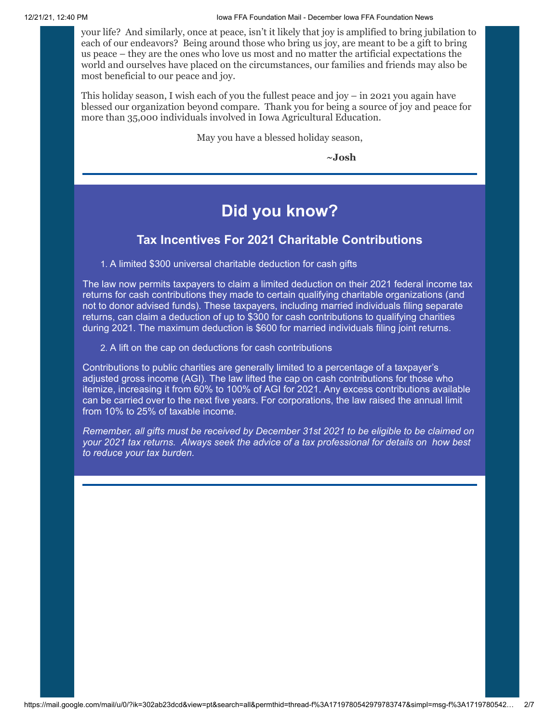your life? And similarly, once at peace, isn't it likely that joy is amplified to bring jubilation to each of our endeavors? Being around those who bring us joy, are meant to be a gift to bring us peace – they are the ones who love us most and no matter the artificial expectations the world and ourselves have placed on the circumstances, our families and friends may also be most beneficial to our peace and joy.

This holiday season, I wish each of you the fullest peace and joy – in 2021 you again have blessed our organization beyond compare. Thank you for being a source of joy and peace for more than 35,000 individuals involved in Iowa Agricultural Education.

May you have a blessed holiday season,

**~Josh**

## **Did you know?**

### **Tax Incentives For 2021 Charitable Contributions**

1. A limited \$300 universal charitable deduction for cash gifts

The law now permits taxpayers to claim a limited deduction on their 2021 federal income tax returns for cash contributions they made to certain qualifying charitable organizations (and not to donor advised funds). These taxpayers, including married individuals filing separate returns, can claim a deduction of up to \$300 for cash contributions to qualifying charities during 2021. The maximum deduction is \$600 for married individuals filing joint returns.

2. A lift on the cap on deductions for cash contributions

Contributions to public charities are generally limited to a percentage of a taxpayer's adjusted gross income (AGI). The law lifted the cap on cash contributions for those who itemize, increasing it from 60% to 100% of AGI for 2021. Any excess contributions available can be carried over to the next five years. For corporations, the law raised the annual limit from 10% to 25% of taxable income.

*Remember, all gifts must be received by December 31st 2021 to be eligible to be claimed on your 2021 tax returns. Always seek the advice of a tax professional for details on how best to reduce your tax burden.*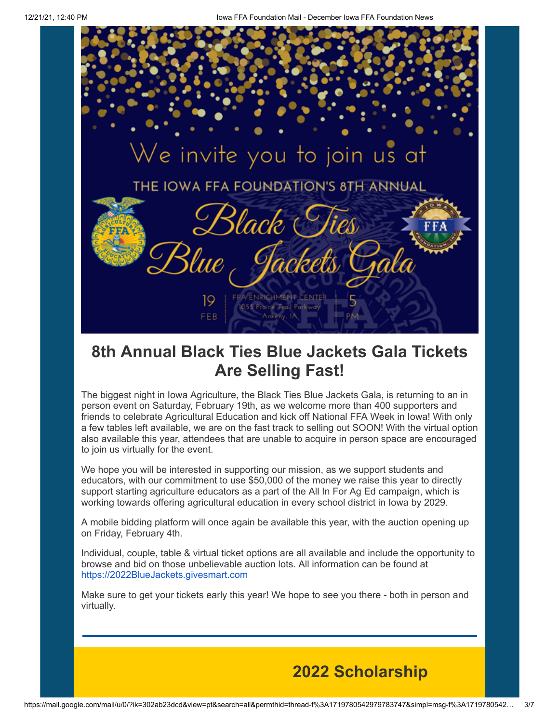

# **8th Annual Black Ties Blue Jackets Gala Tickets Are Selling Fast!**

The biggest night in Iowa Agriculture, the Black Ties Blue Jackets Gala, is returning to an in person event on Saturday, February 19th, as we welcome more than 400 supporters and friends to celebrate Agricultural Education and kick off National FFA Week in Iowa! With only a few tables left available, we are on the fast track to selling out SOON! With the virtual option also available this year, attendees that are unable to acquire in person space are encouraged to join us virtually for the event.

We hope you will be interested in supporting our mission, as we support students and educators, with our commitment to use \$50,000 of the money we raise this year to directly support starting agriculture educators as a part of the All In For Ag Ed campaign, which is working towards offering agricultural education in every school district in Iowa by 2029.

A mobile bidding platform will once again be available this year, with the auction opening up on Friday, February 4th.

Individual, couple, table & virtual ticket options are all available and include the opportunity to browse and bid on those unbelievable auction lots. All information can be found at [https://2022BlueJackets.givesmart.com](https://eml-pusa01.app.blackbaud.net/intv2/j/5EBD57AB-D9C0-4928-BA12-64C30AD99C86/r/5EBD57AB-D9C0-4928-BA12-64C30AD99C86_c16076ed-1414-4c36-9db8-d64d6a6b450c/l/79A61E5B-0086-4DEC-AC19-DDDF61D87275/c)

Make sure to get your tickets early this year! We hope to see you there - both in person and virtually.

# **2022 Scholarship**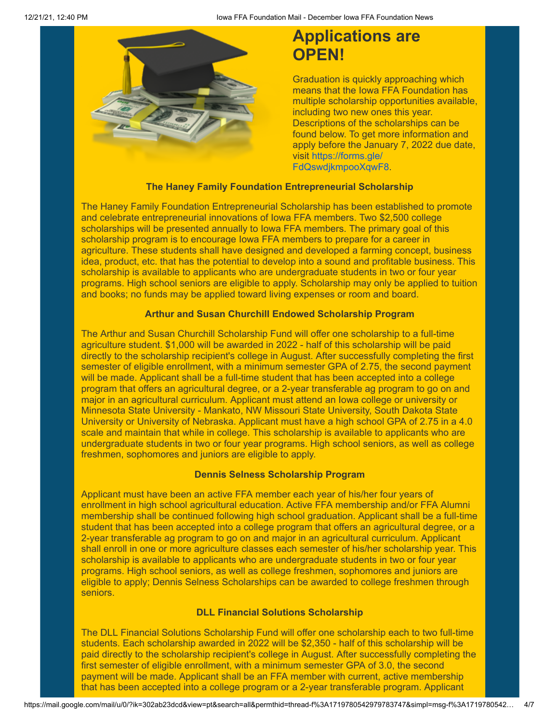

# **Applications are OPEN!**

Graduation is quickly approaching which means that the Iowa FFA Foundation has multiple scholarship opportunities available, including two new ones this year. Descriptions of the scholarships can be found below. To get more information and apply before the January 7, 2022 due date, visit https://forms.gle/ [FdQswdjkmpooXqwF8.](https://eml-pusa01.app.blackbaud.net/intv2/j/5EBD57AB-D9C0-4928-BA12-64C30AD99C86/r/5EBD57AB-D9C0-4928-BA12-64C30AD99C86_c16076ed-1414-4c36-9db8-d64d6a6b450c/l/D6082D03-7865-4FDE-97F1-D4F801988D50/c)

#### **The Haney Family Foundation Entrepreneurial Scholarship**

The Haney Family Foundation Entrepreneurial Scholarship has been established to promote and celebrate entrepreneurial innovations of Iowa FFA members. Two \$2,500 college scholarships will be presented annually to Iowa FFA members. The primary goal of this scholarship program is to encourage Iowa FFA members to prepare for a career in agriculture. These students shall have designed and developed a farming concept, business idea, product, etc. that has the potential to develop into a sound and profitable business. This scholarship is available to applicants who are undergraduate students in two or four year programs. High school seniors are eligible to apply. Scholarship may only be applied to tuition and books; no funds may be applied toward living expenses or room and board.

#### **Arthur and Susan Churchill Endowed Scholarship Program**

The Arthur and Susan Churchill Scholarship Fund will offer one scholarship to a full-time agriculture student. \$1,000 will be awarded in 2022 - half of this scholarship will be paid directly to the scholarship recipient's college in August. After successfully completing the first semester of eligible enrollment, with a minimum semester GPA of 2.75, the second payment will be made. Applicant shall be a full-time student that has been accepted into a college program that offers an agricultural degree, or a 2-year transferable ag program to go on and major in an agricultural curriculum. Applicant must attend an Iowa college or university or Minnesota State University - Mankato, NW Missouri State University, South Dakota State University or University of Nebraska. Applicant must have a high school GPA of 2.75 in a 4.0 scale and maintain that while in college. This scholarship is available to applicants who are undergraduate students in two or four year programs. High school seniors, as well as college freshmen, sophomores and juniors are eligible to apply.

#### **Dennis Selness Scholarship Program**

Applicant must have been an active FFA member each year of his/her four years of enrollment in high school agricultural education. Active FFA membership and/or FFA Alumni membership shall be continued following high school graduation. Applicant shall be a full-time student that has been accepted into a college program that offers an agricultural degree, or a 2-year transferable ag program to go on and major in an agricultural curriculum. Applicant shall enroll in one or more agriculture classes each semester of his/her scholarship year. This scholarship is available to applicants who are undergraduate students in two or four year programs. High school seniors, as well as college freshmen, sophomores and juniors are eligible to apply; Dennis Selness Scholarships can be awarded to college freshmen through seniors.

#### **DLL Financial Solutions Scholarship**

The DLL Financial Solutions Scholarship Fund will offer one scholarship each to two full-time students. Each scholarship awarded in 2022 will be \$2,350 - half of this scholarship will be paid directly to the scholarship recipient's college in August. After successfully completing the first semester of eligible enrollment, with a minimum semester GPA of 3.0, the second payment will be made. Applicant shall be an FFA member with current, active membership that has been accepted into a college program or a 2-year transferable program. Applicant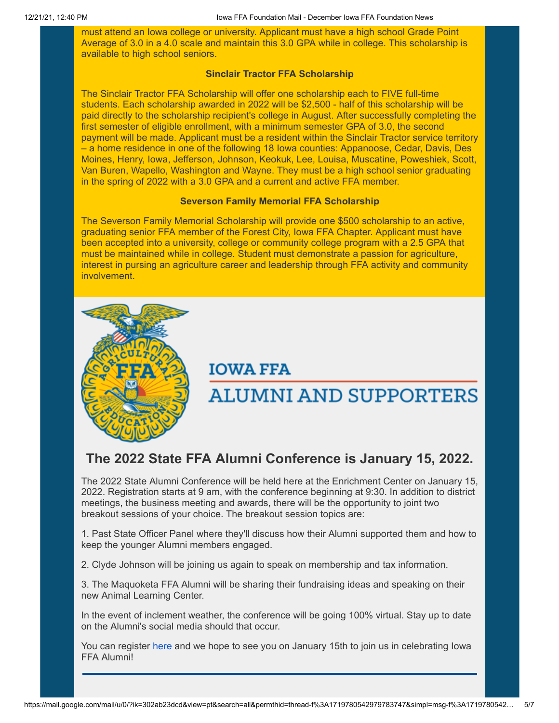must attend an Iowa college or university. Applicant must have a high school Grade Point Average of 3.0 in a 4.0 scale and maintain this 3.0 GPA while in college. This scholarship is available to high school seniors.

#### **Sinclair Tractor FFA Scholarship**

The Sinclair Tractor FFA Scholarship will offer one scholarship each to FIVE full-time students. Each scholarship awarded in 2022 will be \$2,500 - half of this scholarship will be paid directly to the scholarship recipient's college in August. After successfully completing the first semester of eligible enrollment, with a minimum semester GPA of 3.0, the second payment will be made. Applicant must be a resident within the Sinclair Tractor service territory – a home residence in one of the following 18 Iowa counties: Appanoose, Cedar, Davis, Des Moines, Henry, Iowa, Jefferson, Johnson, Keokuk, Lee, Louisa, Muscatine, Poweshiek, Scott, Van Buren, Wapello, Washington and Wayne. They must be a high school senior graduating in the spring of 2022 with a 3.0 GPA and a current and active FFA member.

#### **Severson Family Memorial FFA Scholarship**

The Severson Family Memorial Scholarship will provide one \$500 scholarship to an active, graduating senior FFA member of the Forest City, Iowa FFA Chapter. Applicant must have been accepted into a university, college or community college program with a 2.5 GPA that must be maintained while in college. Student must demonstrate a passion for agriculture, interest in pursing an agriculture career and leadership through FFA activity and community involvement.



### **IOWA FFA**

# **ALUMNI AND SUPPORTERS**

### **The 2022 State FFA Alumni Conference is January 15, 2022.**

The 2022 State Alumni Conference will be held here at the Enrichment Center on January 15, 2022. Registration starts at 9 am, with the conference beginning at 9:30. In addition to district meetings, the business meeting and awards, there will be the opportunity to joint two breakout sessions of your choice. The breakout session topics are:

1. Past State Officer Panel where they'll discuss how their Alumni supported them and how to keep the younger Alumni members engaged.

2. Clyde Johnson will be joining us again to speak on membership and tax information.

3. The Maquoketa FFA Alumni will be sharing their fundraising ideas and speaking on their new Animal Learning Center.

In the event of inclement weather, the conference will be going 100% virtual. Stay up to date on the Alumni's social media should that occur.

You can register [here](https://eml-pusa01.app.blackbaud.net/intv2/j/5EBD57AB-D9C0-4928-BA12-64C30AD99C86/r/5EBD57AB-D9C0-4928-BA12-64C30AD99C86_c16076ed-1414-4c36-9db8-d64d6a6b450c/l/467B3DC1-C90D-4050-B756-A2EF76B949F2/c) and we hope to see you on January 15th to join us in celebrating Iowa FFA Alumni!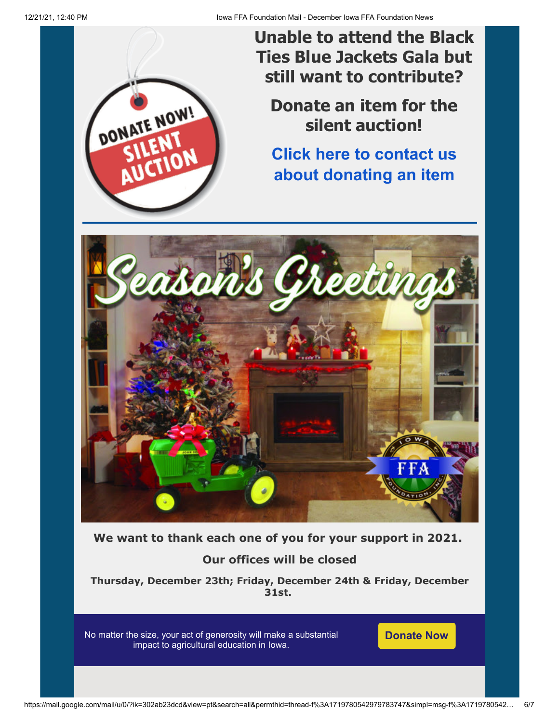

**Unable to attend the Black Ties Blue Jackets Gala but still want to contribute?**

**Donate an item for the silent auction!**

**[Click here to contact us](mailto:zoie@iowaffafoundation.org?subject=Silent%20Auction+Donation) about donating an item**



**We want to thank each one of you for your support in 2021.**

### **Our offices will be closed**

**Thursday, December 23th; Friday, December 24th & Friday, December 31st.**

No matter the size, your act of generosity will make a substantial impact to agricultural education in Iowa.

**[Donate Now](https://eml-pusa01.app.blackbaud.net/intv2/j/5EBD57AB-D9C0-4928-BA12-64C30AD99C86/r/5EBD57AB-D9C0-4928-BA12-64C30AD99C86_c16076ed-1414-4c36-9db8-d64d6a6b450c/l/A7219E03-FFF8-4AAA-B381-C024C81435E3/c)**